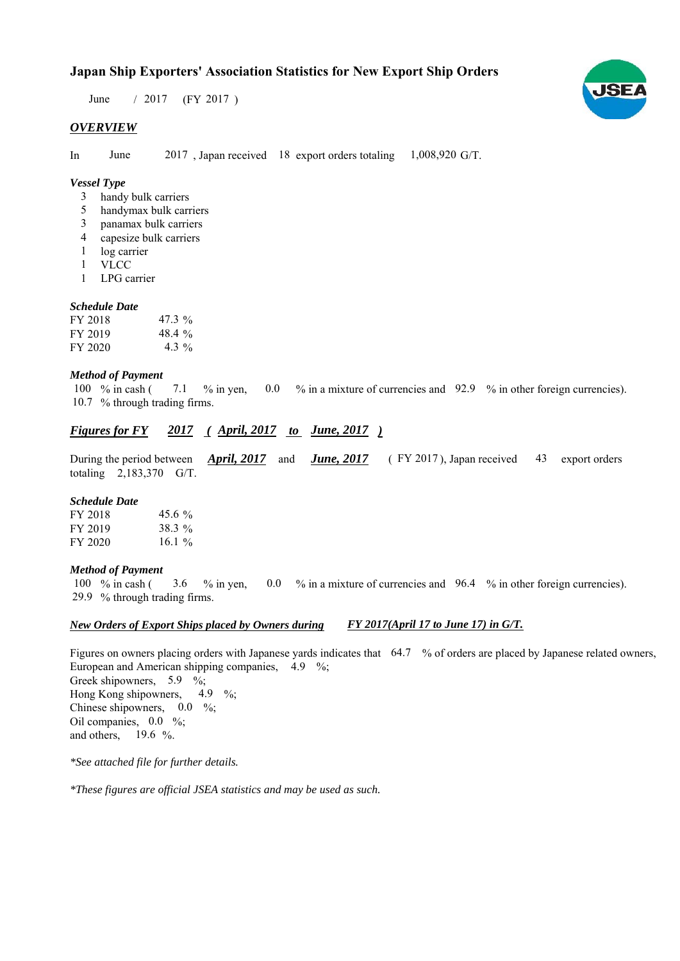# **Japan Ship Exporters' Association Statistics for New Export Ship Orders**

 $/ 2017$  (FY 2017) June

### *OVERVIEW*

In June  $2017$ , Japan received 18 export orders totaling  $1,008,920$  G/T.

# *Vessel Type*

- handy bulk carriers 3
- handymax bulk carriers 5
- panamax bulk carriers 3
- capesize bulk carriers 4
- log carrier 1
- VLCC 1
- LPG carrier 1

#### *Schedule Date*

| FY 2018 | $47.3\%$  |
|---------|-----------|
| FY 2019 | 48.4 $\%$ |
| FY 2020 | 4.3 %     |

#### *Method of Payment*

% in cash ( $\frac{7.1}{8}$  % in yen,  $\frac{0.0}{8}$  % in a mixture of currencies and  $\frac{92.9}{8}$  % in other foreign currencies). 10.7 % through trading firms. 7.1 100  $%$  in cash (

## *Figures for FY* 2017 (April, 2017 *to June, 2017*)

During the period between **April, 2017** and **June, 2017** (FY 2017), Japan received 43 export orders totaling  $2,183,370$  G/T. *April, 2017* and *June, 2017* 

#### *Schedule Date*

| FY 2018 | 45.6 $\%$ |
|---------|-----------|
| FY 2019 | 38.3 %    |
| FY 2020 | 16.1 $\%$ |

#### *Method of Payment*

100 % in cash (3.6 % in yen, 0.0 % in a mixture of currencies and 96.4 % in other foreign currencies). % through trading firms. 29.9

#### *New Orders of Export Ships placed by Owners during FY 2017(April 17 to June 17) in G/T.*

Figures on owners placing orders with Japanese yards indicates that 64.7 % of orders are placed by Japanese related owners, European and American shipping companies,  $4.9\%$ ; Greek shipowners,  $5.9 \%$ ; Hong Kong shipowners,  $4.9\%$ ; Chinese shipowners,  $0.0\%$ ; Oil companies,  $0.0\%$ ; and others,  $19.6\%$ . 4.9

*\*See attached file for further details.*

*\*These figures are official JSEA statistics and may be used as such.*

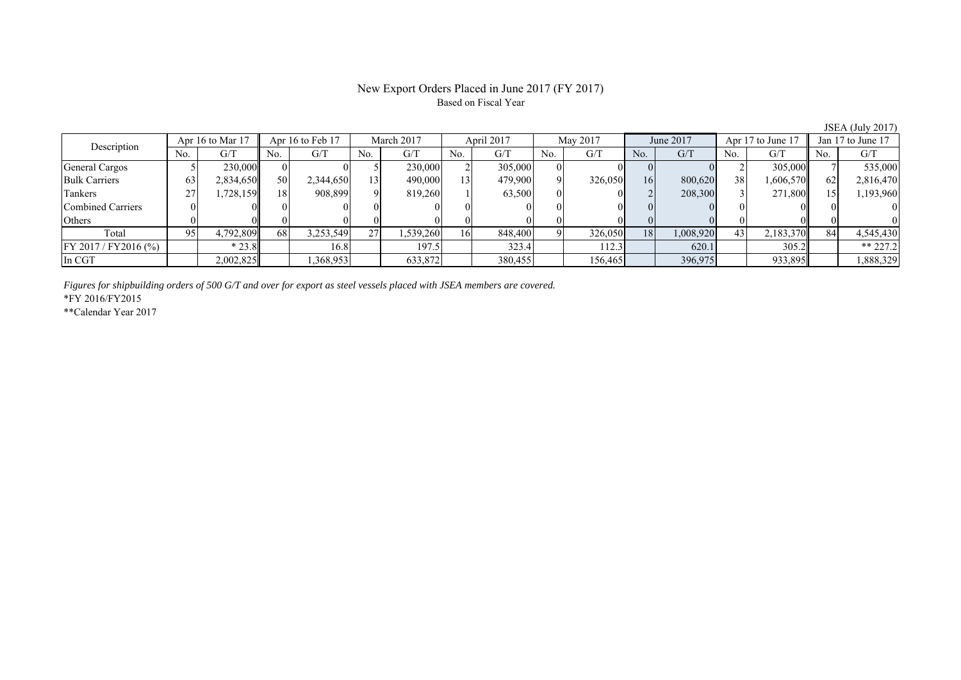# New Export Orders Placed in June 2017 (FY 2017) Based on Fiscal Year

| Description              |     | Apr 16 to Mar 17 |     | Apr 16 to Feb 17 |                        | March 2017 |                 | April 2017 |     | May 2017 |     | June 2017 |     | Apr 17 to June 17 |     | Jan 17 to June 17 |
|--------------------------|-----|------------------|-----|------------------|------------------------|------------|-----------------|------------|-----|----------|-----|-----------|-----|-------------------|-----|-------------------|
|                          | No. | G/T              | No. | G/T              | No.                    | G/T        | No.             | G/T        | No. | G/T      | No. | G/T       | No. | G/T               | No. | G/T               |
| General Cargos           |     | 230,000          |     |                  |                        | 230,000    |                 | 305,000    |     |          |     |           |     | 305,000           |     | 535,000           |
| <b>Bulk Carriers</b>     | 63  | 2,834,650        | 50  | 2,344,650        | $\left  \cdot \right $ | 490,000    | $\overline{13}$ | 479,900    |     | 326,050  | 16  | 800,620   | 38  | 1,606,570         | 62  | 2,816,470         |
| Tankers                  | 27  | .728.159         | 18  | 908,899          | $\Omega$               | 819.260    |                 | 63,500     |     |          |     | 208,300   |     | 271,800           |     | 1,193,960         |
| <b>Combined Carriers</b> |     |                  |     |                  |                        |            |                 |            |     |          |     |           |     |                   |     |                   |
| Others                   |     |                  |     |                  |                        |            |                 |            |     |          |     |           |     |                   |     |                   |
| Total                    | 95  | 4,792,809        | 68  | 3,253,549        | 27                     | 1,539,260  | 161             | 848,400    |     | 326,050  | 18  | 1,008,920 | 43  | 2,183,370         | 84  | 4,545,430         |
| FY 2017 / FY2016 (%)     |     | $*23.8$          |     | 16.8             |                        | 197.5      |                 | 323.4      |     | 112.3    |     | 620.1     |     | 305.2             |     | $** 227.2$        |
| In CGT                   |     | 2,002,825        |     | ,368,953         |                        | 633,872    |                 | 380,455    |     | 156,465  |     | 396,975   |     | 933,895           |     | .888,329          |

*Figures for shipbuilding orders of 500 G/T and over for export as steel vessels placed with JSEA members are covered.*

\*FY 2016/FY2015

\*\*Calendar Year 2017

JSEA (July 2017)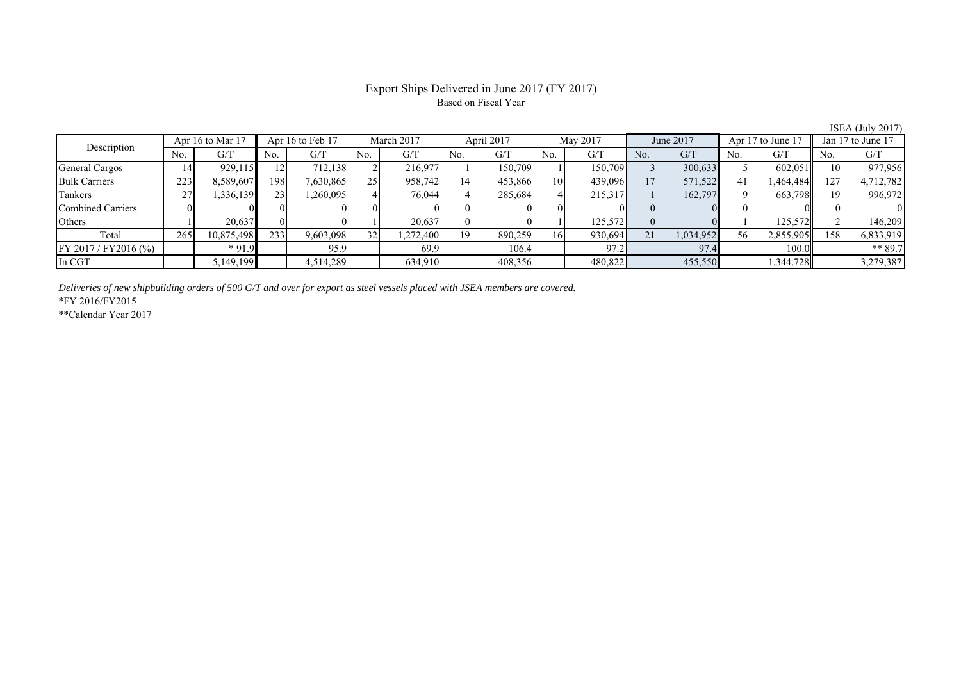# Export Ships Delivered in June 2017 (FY 2017) Based on Fiscal Year

| Description             | Apr 16 to Mar 17 |            | Apr 16 to Feb 17 |           | March 2017 |          | April 2017 |         | May 2017 |         | June 2017 |           | Apr 17 to June 1 |           | Jan 17 to June 17 |           |
|-------------------------|------------------|------------|------------------|-----------|------------|----------|------------|---------|----------|---------|-----------|-----------|------------------|-----------|-------------------|-----------|
|                         | No.              | G/T        | No.              | G/T       | No.        | G/T      | No.        | G/T     | No.      | G/T     | No.       | G/T       | No.              | G/T       | No.               | G/T       |
| <b>General Cargos</b>   | 14               | 929.115    |                  | 712.138   |            | 216.977  |            | 150.709 |          | 150.709 |           | 300,633   |                  | 602,051   |                   | 977,956   |
| <b>Bulk Carriers</b>    | 223              | 8,589,607  | 198              | 7,630,865 | 25         | 958,742  | 14         | 453,866 | 10       | 439,096 | 17        | 571,522   | 41               | 1,464,484 | 127               | 4,712,782 |
| Tankers                 | 27               | .336.139   | 23               | .260,095  |            | 76,044   |            | 285,684 |          | 215,317 |           | 162,797   |                  | 663,798   | 10                | 996,972   |
| Combined Carriers       |                  |            |                  |           |            |          |            |         |          |         |           |           |                  |           |                   |           |
| Others                  |                  | 20,637     | 01               |           |            | 20,637   |            |         |          | 125,572 |           |           |                  | 125,572   |                   | 146.209   |
| Total                   | 265              | 10,875,498 | 233              | 9,603,098 | 32         | .272.400 | 19         | 890,259 | 16       | 930,694 | 21        | 1,034,952 | 56               | 2,855,905 | 158               | 6,833,919 |
| $FY 2017 / FY 2016$ (%) |                  | $*91.9$    |                  | 95.9      |            | 69.9     |            | 106.4   |          | 97.2    |           | 97.4      |                  | 100.0     |                   | ** 89.7   |
| In CGT                  |                  | 5,149,199  |                  | 4,514,289 |            | 634,910  |            | 408,356 |          | 480,822 |           | 455,550   |                  | 344,728   |                   | 3,279,387 |

*Deliveries of new shipbuilding orders of 500 G/T and over for export as steel vessels placed with JSEA members are covered.*

\*FY 2016/FY2015

\*\*Calendar Year 2017

JSEA (July 2017)